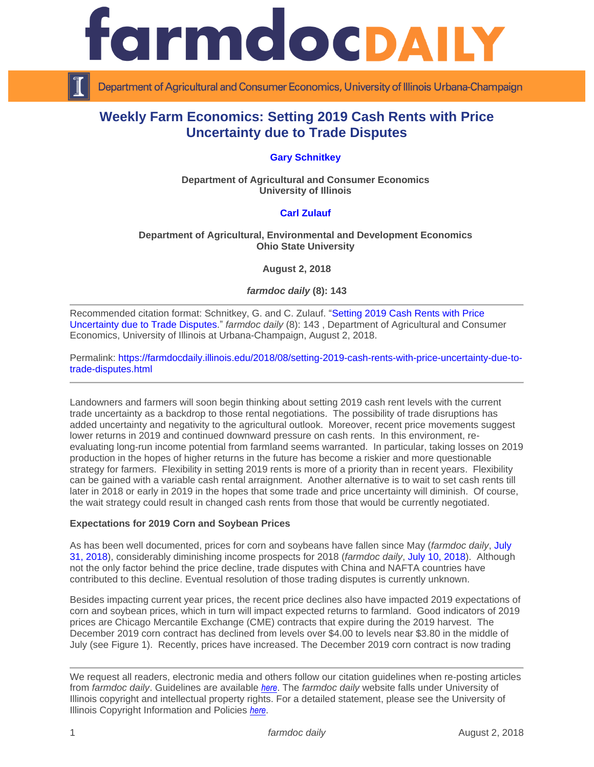



Department of Agricultural and Consumer Economics, University of Illinois Urbana-Champaign

# **Weekly Farm Economics: Setting 2019 Cash Rents with Price Uncertainty due to Trade Disputes**

# **[Gary Schnitkey](http://farmdoc.illinois.edu/schnitkey)**

**Department of Agricultural and Consumer Economics University of Illinois**

# **[Carl Zulauf](http://aede.osu.edu/our-people/carl-zulauf)**

#### **Department of Agricultural, Environmental and Development Economics Ohio State University**

**August 2, 2018**

*farmdoc daily* **(8): 143**

Recommended citation format: Schnitkey, G. and C. Zulauf. ["Setting 2019 Cash Rents with Price](https://farmdocdaily.illinois.edu/2018/08/setting-2019-cash-rents-with-price-uncertainty-due-to-trade-disputes.html)  [Uncertainty due to Trade Disputes.](https://farmdocdaily.illinois.edu/2018/08/setting-2019-cash-rents-with-price-uncertainty-due-to-trade-disputes.html)" *farmdoc daily* (8): 143 , Department of Agricultural and Consumer Economics, University of Illinois at Urbana-Champaign, August 2, 2018.

Permalink: [https://farmdocdaily.illinois.edu/2018/08/setting-2019-cash-rents-with-price-uncertainty-due-to](https://farmdocdaily.illinois.edu/2018/08/setting-2019-cash-rents-with-price-uncertainty-due-to-trade-disputes.html)[trade-disputes.html](https://farmdocdaily.illinois.edu/2018/08/setting-2019-cash-rents-with-price-uncertainty-due-to-trade-disputes.html)

Landowners and farmers will soon begin thinking about setting 2019 cash rent levels with the current trade uncertainty as a backdrop to those rental negotiations. The possibility of trade disruptions has added uncertainty and negativity to the agricultural outlook. Moreover, recent price movements suggest lower returns in 2019 and continued downward pressure on cash rents. In this environment, reevaluating long-run income potential from farmland seems warranted. In particular, taking losses on 2019 production in the hopes of higher returns in the future has become a riskier and more questionable strategy for farmers. Flexibility in setting 2019 rents is more of a priority than in recent years. Flexibility can be gained with a variable cash rental arraignment. Another alternative is to wait to set cash rents till later in 2018 or early in 2019 in the hopes that some trade and price uncertainty will diminish. Of course, the wait strategy could result in changed cash rents from those that would be currently negotiated.

#### **Expectations for 2019 Corn and Soybean Prices**

As has been well documented, prices for corn and soybeans have fallen since May (*farmdoc daily*, [July](https://farmdocdaily.illinois.edu/2018/07/trade-timeline-and-corn-and-soybean-prices.htmlhttps:/farmdocdaily.illinois.edu/2018/07/trade-timeline-and-corn-and-soybean-prices.html)  [31, 2018\)](https://farmdocdaily.illinois.edu/2018/07/trade-timeline-and-corn-and-soybean-prices.htmlhttps:/farmdocdaily.illinois.edu/2018/07/trade-timeline-and-corn-and-soybean-prices.html), considerably diminishing income prospects for 2018 (*farmdoc daily*, [July 10, 2018\)](https://farmdocdaily.illinois.edu/2018/07/2018-income-projections-after-recent-price-declines.html). Although not the only factor behind the price decline, trade disputes with China and NAFTA countries have contributed to this decline. Eventual resolution of those trading disputes is currently unknown.

Besides impacting current year prices, the recent price declines also have impacted 2019 expectations of corn and soybean prices, which in turn will impact expected returns to farmland. Good indicators of 2019 prices are Chicago Mercantile Exchange (CME) contracts that expire during the 2019 harvest. The December 2019 corn contract has declined from levels over \$4.00 to levels near \$3.80 in the middle of July (see Figure 1). Recently, prices have increased. The December 2019 corn contract is now trading

We request all readers, electronic media and others follow our citation guidelines when re-posting articles from *farmdoc daily*. Guidelines are available *[here](http://farmdocdaily.illinois.edu/citationguide.html)*. The *farmdoc daily* website falls under University of Illinois copyright and intellectual property rights. For a detailed statement, please see the University of Illinois Copyright Information and Policies *[here](http://www.cio.illinois.edu/policies/copyright/)*.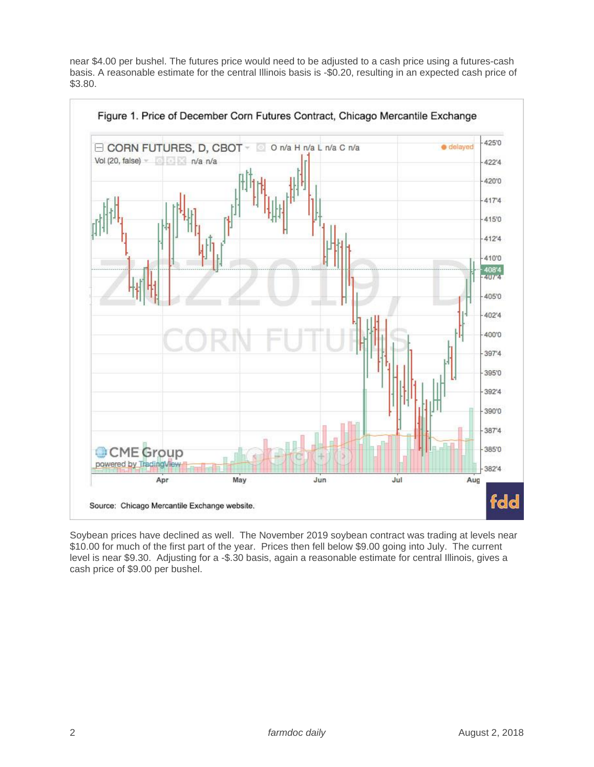near \$4.00 per bushel. The futures price would need to be adjusted to a cash price using a futures-cash basis. A reasonable estimate for the central Illinois basis is -\$0.20, resulting in an expected cash price of \$3.80.



Soybean prices have declined as well. The November 2019 soybean contract was trading at levels near \$10.00 for much of the first part of the year. Prices then fell below \$9.00 going into July. The current level is near \$9.30. Adjusting for a -\$.30 basis, again a reasonable estimate for central Illinois, gives a cash price of \$9.00 per bushel.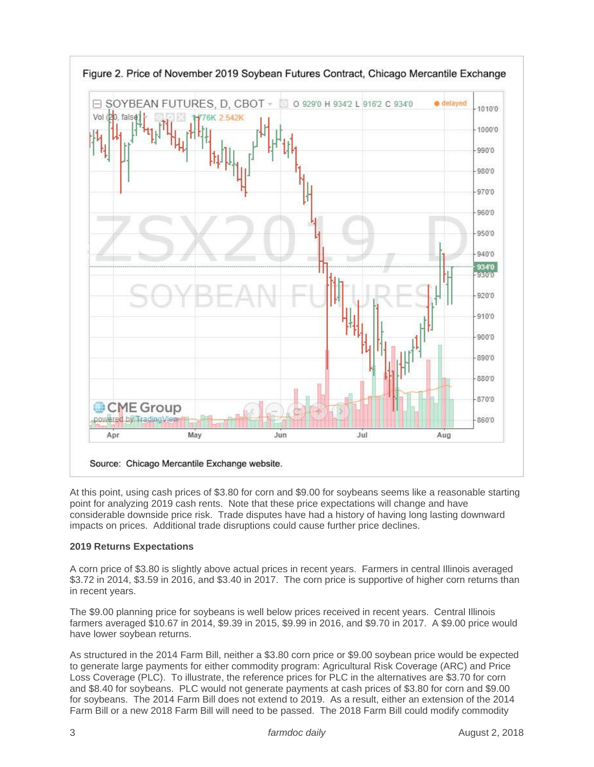

At this point, using cash prices of \$3.80 for corn and \$9.00 for soybeans seems like a reasonable starting point for analyzing 2019 cash rents. Note that these price expectations will change and have considerable downside price risk. Trade disputes have had a history of having long lasting downward impacts on prices. Additional trade disruptions could cause further price declines.

# **2019 Returns Expectations**

A corn price of \$3.80 is slightly above actual prices in recent years. Farmers in central Illinois averaged \$3.72 in 2014, \$3.59 in 2016, and \$3.40 in 2017. The corn price is supportive of higher corn returns than in recent years.

The \$9.00 planning price for soybeans is well below prices received in recent years. Central Illinois farmers averaged \$10.67 in 2014, \$9.39 in 2015, \$9.99 in 2016, and \$9.70 in 2017. A \$9.00 price would have lower soybean returns.

As structured in the 2014 Farm Bill, neither a \$3.80 corn price or \$9.00 soybean price would be expected to generate large payments for either commodity program: Agricultural Risk Coverage (ARC) and Price Loss Coverage (PLC). To illustrate, the reference prices for PLC in the alternatives are \$3.70 for corn and \$8.40 for soybeans. PLC would not generate payments at cash prices of \$3.80 for corn and \$9.00 for soybeans. The 2014 Farm Bill does not extend to 2019. As a result, either an extension of the 2014 Farm Bill or a new 2018 Farm Bill will need to be passed. The 2018 Farm Bill could modify commodity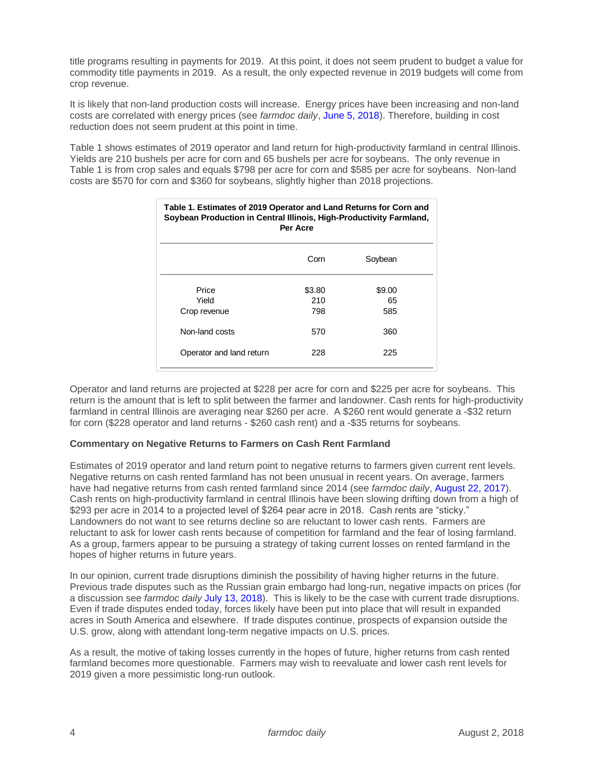title programs resulting in payments for 2019. At this point, it does not seem prudent to budget a value for commodity title payments in 2019. As a result, the only expected revenue in 2019 budgets will come from crop revenue.

It is likely that non-land production costs will increase. Energy prices have been increasing and non-land costs are correlated with energy prices (see *farmdoc daily*, [June 5, 2018\)](https://farmdocdaily.illinois.edu/2018/06/historic-fertilizer-seed-and-chemical-costs.html). Therefore, building in cost reduction does not seem prudent at this point in time.

Table 1 shows estimates of 2019 operator and land return for high-productivity farmland in central Illinois. Yields are 210 bushels per acre for corn and 65 bushels per acre for soybeans. The only revenue in Table 1 is from crop sales and equals \$798 per acre for corn and \$585 per acre for soybeans. Non-land costs are \$570 for corn and \$360 for soybeans, slightly higher than 2018 projections.

| Table 1. Estimates of 2019 Operator and Land Returns for Corn and<br>Soybean Production in Central Illinois, High-Productivity Farmland,<br>Per Acre |                      |                     |
|------------------------------------------------------------------------------------------------------------------------------------------------------|----------------------|---------------------|
|                                                                                                                                                      | Corn                 | Soybean             |
| Price<br>Yield<br>Crop revenue                                                                                                                       | \$3.80<br>210<br>798 | \$9.00<br>65<br>585 |
| Non-land costs                                                                                                                                       | 570                  | 360                 |
| Operator and land return                                                                                                                             | 228                  | 225                 |

Operator and land returns are projected at \$228 per acre for corn and \$225 per acre for soybeans. This return is the amount that is left to split between the farmer and landowner. Cash rents for high-productivity farmland in central Illinois are averaging near \$260 per acre. A \$260 rent would generate a -\$32 return for corn (\$228 operator and land returns - \$260 cash rent) and a -\$35 returns for soybeans.

#### **Commentary on Negative Returns to Farmers on Cash Rent Farmland**

Estimates of 2019 operator and land return point to negative returns to farmers given current rent levels. Negative returns on cash rented farmland has not been unusual in recent years. On average, farmers have had negative returns from cash rented farmland since 2014 (see *farmdoc daily*, [August 22, 2017\)](https://farmdocdaily.illinois.edu/2017/08/negative-cash-rent-farmland-returns-since-2014.html). Cash rents on high-productivity farmland in central Illinois have been slowing drifting down from a high of \$293 per acre in 2014 to a projected level of \$264 pear acre in 2018. Cash rents are "sticky." Landowners do not want to see returns decline so are reluctant to lower cash rents. Farmers are reluctant to ask for lower cash rents because of competition for farmland and the fear of losing farmland. As a group, farmers appear to be pursuing a strategy of taking current losses on rented farmland in the hopes of higher returns in future years.

In our opinion, current trade disruptions diminish the possibility of having higher returns in the future. Previous trade disputes such as the Russian grain embargo had long-run, negative impacts on prices (for a discussion see *farmdoc daily* [July 13, 2018\)](https://farmdocdaily.illinois.edu/2018/07/us-corn-soybean-wheat-exports-and-ussr-grain-embargo-contemporary-implications.html). This is likely to be the case with current trade disruptions. Even if trade disputes ended today, forces likely have been put into place that will result in expanded acres in South America and elsewhere. If trade disputes continue, prospects of expansion outside the U.S. grow, along with attendant long-term negative impacts on U.S. prices.

As a result, the motive of taking losses currently in the hopes of future, higher returns from cash rented farmland becomes more questionable. Farmers may wish to reevaluate and lower cash rent levels for 2019 given a more pessimistic long-run outlook.